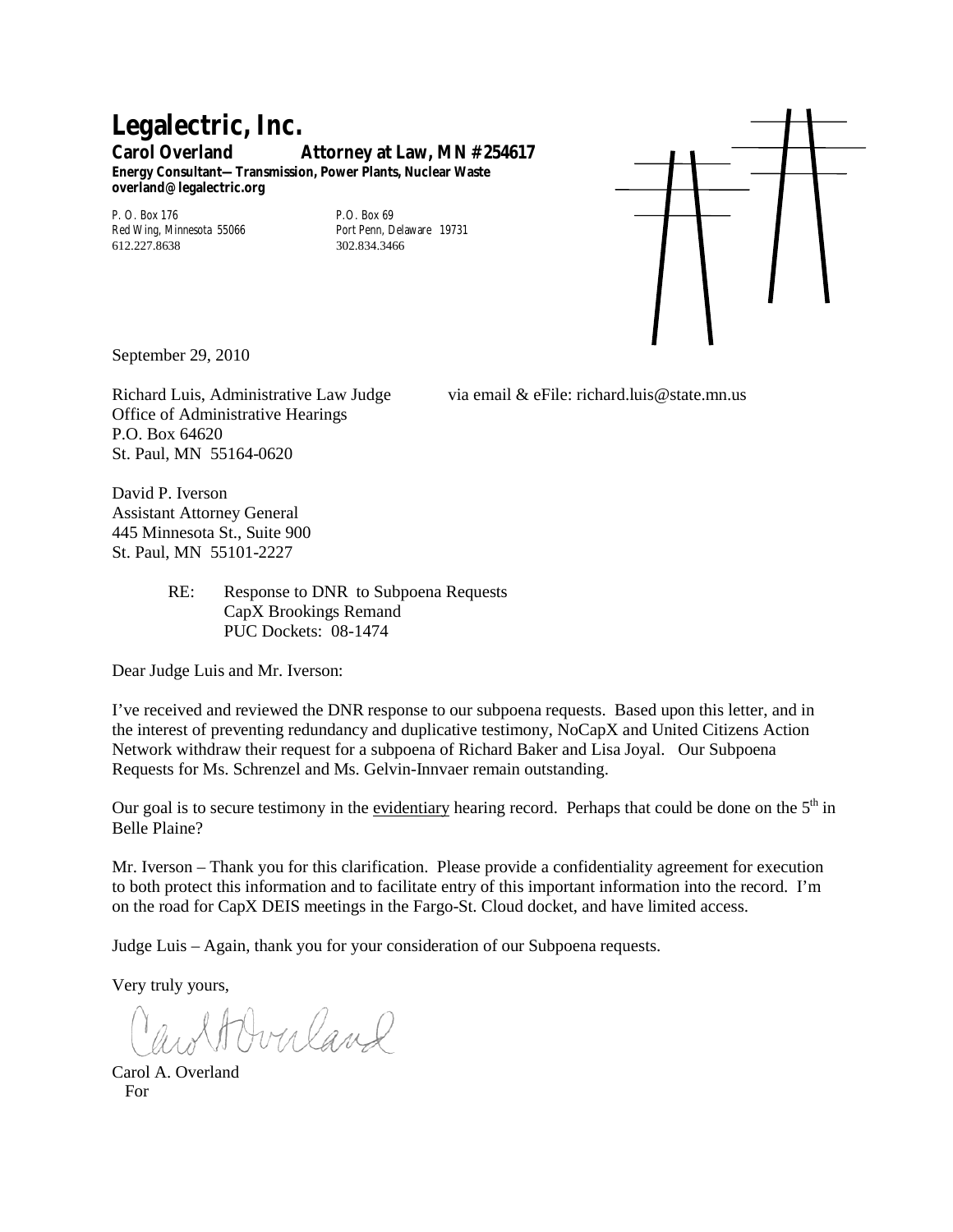## **Legalectric, Inc. Carol Overland Attorney at Law, MN #254617 Energy Consultant—Transmission, Power Plants, Nuclear Waste**

**overland@legalectric.org**

P. O. Box 176<br>
Red Wing, Minnesota 55066<br>
Port Penn, Delaware 19731 Red Wing, Minnesota 55066 Port Penn, Dela<br>612 227 8638 802 834 3466 612.227.8638



September 29, 2010

Richard Luis, Administrative Law Judge via email & eFile: richard.luis@state.mn.us Office of Administrative Hearings P.O. Box 64620 St. Paul, MN 55164-0620

David P. Iverson Assistant Attorney General 445 Minnesota St., Suite 900 St. Paul, MN 55101-2227

> RE: Response to DNR to Subpoena Requests CapX Brookings Remand PUC Dockets: 08-1474

Dear Judge Luis and Mr. Iverson:

I've received and reviewed the DNR response to our subpoena requests. Based upon this letter, and in the interest of preventing redundancy and duplicative testimony, NoCapX and United Citizens Action Network withdraw their request for a subpoena of Richard Baker and Lisa Joyal. Our Subpoena Requests for Ms. Schrenzel and Ms. Gelvin-Innvaer remain outstanding.

Our goal is to secure testimony in the evidentiary hearing record. Perhaps that could be done on the  $5<sup>th</sup>$  in Belle Plaine?

Mr. Iverson – Thank you for this clarification. Please provide a confidentiality agreement for execution to both protect this information and to facilitate entry of this important information into the record. I'm on the road for CapX DEIS meetings in the Fargo-St. Cloud docket, and have limited access.

Judge Luis – Again, thank you for your consideration of our Subpoena requests.

Very truly yours,

Averland

Carol A. Overland For